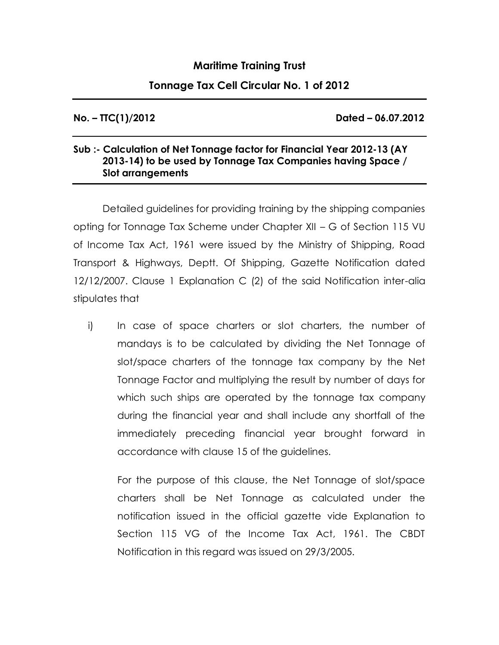## **Maritime Training Trust**

## **Tonnage Tax Cell Circular No. 1 of 2012**

**No. – TTC(1)/2012 Dated – 06.07.2012**

## **Sub :- Calculation of Net Tonnage factor for Financial Year 2012-13 (AY 2013-14) to be used by Tonnage Tax Companies having Space / Slot arrangements**

Detailed guidelines for providing training by the shipping companies opting for Tonnage Tax Scheme under Chapter XII – G of Section 115 VU of Income Tax Act, 1961 were issued by the Ministry of Shipping, Road Transport & Highways, Deptt. Of Shipping, Gazette Notification dated 12/12/2007. Clause 1 Explanation C (2) of the said Notification inter-alia stipulates that

i) In case of space charters or slot charters, the number of mandays is to be calculated by dividing the Net Tonnage of slot/space charters of the tonnage tax company by the Net Tonnage Factor and multiplying the result by number of days for which such ships are operated by the tonnage tax company during the financial year and shall include any shortfall of the immediately preceding financial year brought forward in accordance with clause 15 of the guidelines.

For the purpose of this clause, the Net Tonnage of slot/space charters shall be Net Tonnage as calculated under the notification issued in the official gazette vide Explanation to Section 115 VG of the Income Tax Act, 1961. The CBDT Notification in this regard was issued on 29/3/2005.